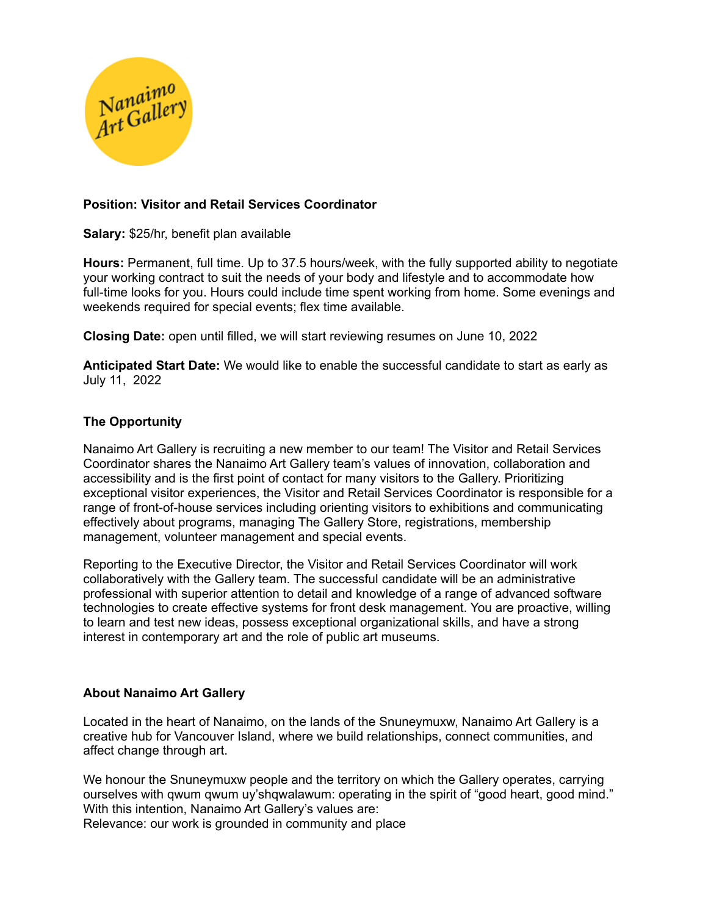

# **Position: Visitor and Retail Services Coordinator**

**Salary:** \$25/hr, benefit plan available

**Hours:** Permanent, full time. Up to 37.5 hours/week, with the fully supported ability to negotiate your working contract to suit the needs of your body and lifestyle and to accommodate how full-time looks for you. Hours could include time spent working from home. Some evenings and weekends required for special events; flex time available.

**Closing Date:** open until filled, we will start reviewing resumes on June 10, 2022

**Anticipated Start Date:** We would like to enable the successful candidate to start as early as July 11, 2022

# **The Opportunity**

Nanaimo Art Gallery is recruiting a new member to our team! The Visitor and Retail Services Coordinator shares the Nanaimo Art Gallery team's values of innovation, collaboration and accessibility and is the first point of contact for many visitors to the Gallery. Prioritizing exceptional visitor experiences, the Visitor and Retail Services Coordinator is responsible for a range of front-of-house services including orienting visitors to exhibitions and communicating effectively about programs, managing The Gallery Store, registrations, membership management, volunteer management and special events.

Reporting to the Executive Director, the Visitor and Retail Services Coordinator will work collaboratively with the Gallery team. The successful candidate will be an administrative professional with superior attention to detail and knowledge of a range of advanced software technologies to create effective systems for front desk management. You are proactive, willing to learn and test new ideas, possess exceptional organizational skills, and have a strong interest in contemporary art and the role of public art museums.

### **About Nanaimo Art Gallery**

Located in the heart of Nanaimo, on the lands of the Snuneymuxw, Nanaimo Art Gallery is a creative hub for Vancouver Island, where we build relationships, connect communities, and affect change through art.

We honour the Snuneymuxw people and the territory on which the Gallery operates, carrying ourselves with qwum qwum uy'shqwalawum: operating in the spirit of "good heart, good mind." With this intention, Nanaimo Art Gallery's values are: Relevance: our work is grounded in community and place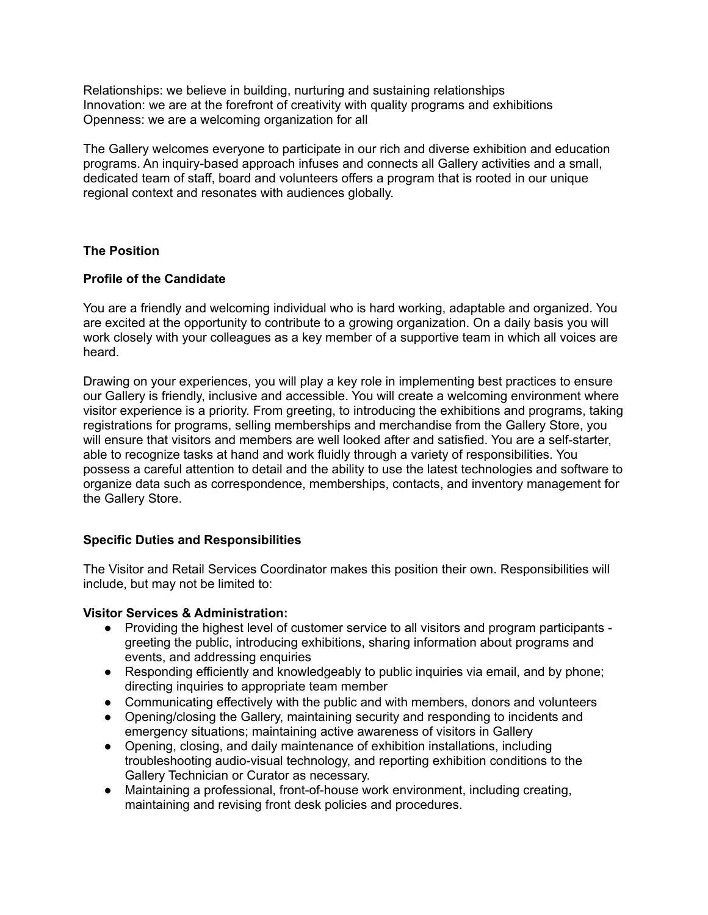Relationships: we believe in building, nurturing and sustaining relationships Innovation: we are at the forefront of creativity with quality programs and exhibitions Openness: we are a welcoming organization for all

The Gallery welcomes everyone to participate in our rich and diverse exhibition and education programs. An inquiry-based approach infuses and connects all Gallery activities and a small, dedicated team of staff, board and volunteers offers a program that is rooted in our unique regional context and resonates with audiences globally.

# **The Position**

### **Profile of the Candidate**

You are a friendly and welcoming individual who is hard working, adaptable and organized. You are excited at the opportunity to contribute to a growing organization. On a daily basis you will work closely with your colleagues as a key member of a supportive team in which all voices are heard.

Drawing on your experiences, you will play a key role in implementing best practices to ensure our Gallery is friendly, inclusive and accessible. You will create a welcoming environment where visitor experience is a priority. From greeting, to introducing the exhibitions and programs, taking registrations for programs, selling memberships and merchandise from the Gallery Store, you will ensure that visitors and members are well looked after and satisfied. You are a self-starter, able to recognize tasks at hand and work fluidly through a variety of responsibilities. You possess a careful attention to detail and the ability to use the latest technologies and software to organize data such as correspondence, memberships, contacts, and inventory management for the Gallery Store.

### **Specific Duties and Responsibilities**

The Visitor and Retail Services Coordinator makes this position their own. Responsibilities will include, but may not be limited to:

### **Visitor Services & Administration:**

- Providing the highest level of customer service to all visitors and program participants greeting the public, introducing exhibitions, sharing information about programs and events, and addressing enquiries
- Responding efficiently and knowledgeably to public inquiries via email, and by phone; directing inquiries to appropriate team member
- Communicating effectively with the public and with members, donors and volunteers
- Opening/closing the Gallery, maintaining security and responding to incidents and emergency situations; maintaining active awareness of visitors in Gallery
- Opening, closing, and daily maintenance of exhibition installations, including troubleshooting audio-visual technology, and reporting exhibition conditions to the Gallery Technician or Curator as necessary.
- Maintaining a professional, front-of-house work environment, including creating, maintaining and revising front desk policies and procedures.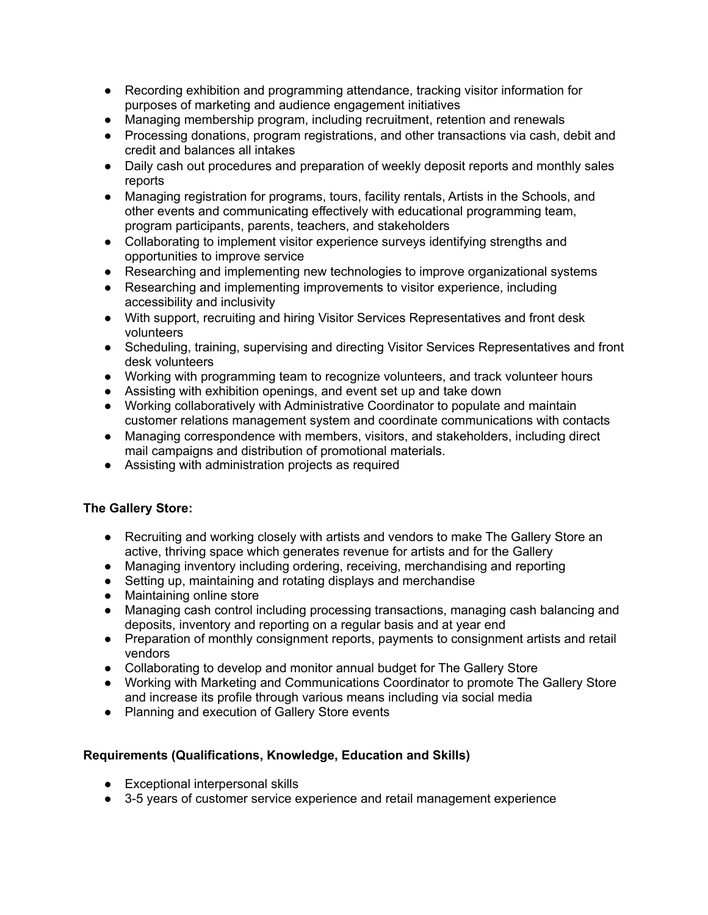- Recording exhibition and programming attendance, tracking visitor information for purposes of marketing and audience engagement initiatives
- Managing membership program, including recruitment, retention and renewals
- Processing donations, program registrations, and other transactions via cash, debit and credit and balances all intakes
- Daily cash out procedures and preparation of weekly deposit reports and monthly sales reports
- Managing registration for programs, tours, facility rentals, Artists in the Schools, and other events and communicating effectively with educational programming team, program participants, parents, teachers, and stakeholders
- Collaborating to implement visitor experience surveys identifying strengths and opportunities to improve service
- Researching and implementing new technologies to improve organizational systems
- Researching and implementing improvements to visitor experience, including accessibility and inclusivity
- With support, recruiting and hiring Visitor Services Representatives and front desk volunteers
- Scheduling, training, supervising and directing Visitor Services Representatives and front desk volunteers
- Working with programming team to recognize volunteers, and track volunteer hours
- Assisting with exhibition openings, and event set up and take down
- Working collaboratively with Administrative Coordinator to populate and maintain customer relations management system and coordinate communications with contacts
- Managing correspondence with members, visitors, and stakeholders, including direct mail campaigns and distribution of promotional materials.
- Assisting with administration projects as required

# **The Gallery Store:**

- Recruiting and working closely with artists and vendors to make The Gallery Store an active, thriving space which generates revenue for artists and for the Gallery
- Managing inventory including ordering, receiving, merchandising and reporting
- Setting up, maintaining and rotating displays and merchandise
- Maintaining online store
- Managing cash control including processing transactions, managing cash balancing and deposits, inventory and reporting on a regular basis and at year end
- Preparation of monthly consignment reports, payments to consignment artists and retail vendors
- Collaborating to develop and monitor annual budget for The Gallery Store
- Working with Marketing and Communications Coordinator to promote The Gallery Store and increase its profile through various means including via social media
- Planning and execution of Gallery Store events

# **Requirements (Qualifications, Knowledge, Education and Skills)**

- Exceptional interpersonal skills
- 3-5 years of customer service experience and retail management experience